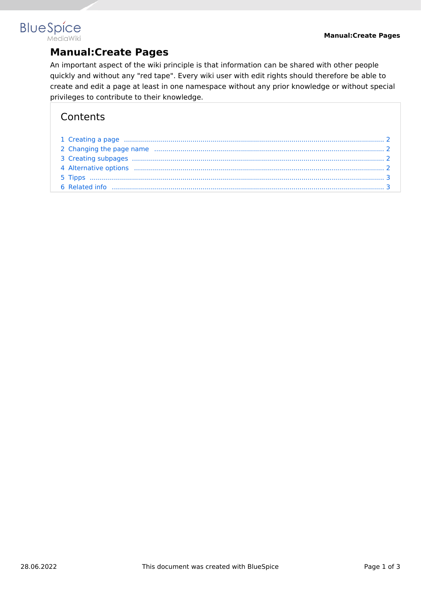# **BlueSpice MediaWiki**

# **Manual:Create Pages**

An important aspect of the wiki principle is that information can be shared with other people quickly and without any "red tape". Every wiki user with edit rights should therefore be able to create and edit a page at least in one namespace without any prior knowledge or without special privileges to contribute to their knowledge.

# **Contents**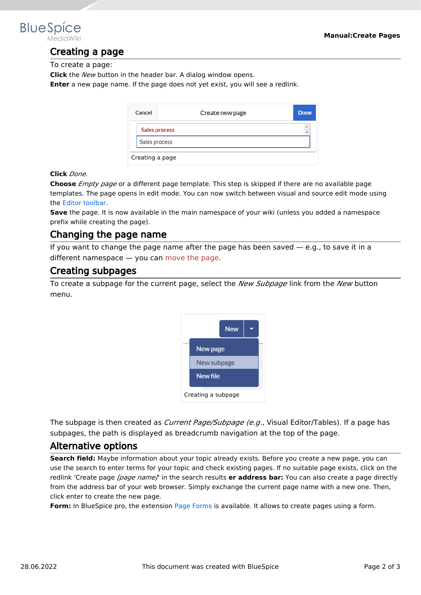<span id="page-1-0"></span>

# Creating a page

To create a page:

**Click** the *New* button in the header bar. A dialog window opens.

**Enter** a new page name. If the page does not yet exist, you will see a redlink.

| Cancel          | Create new page | Done      |  |  |
|-----------------|-----------------|-----------|--|--|
|                 | Sales process   | $\hat{=}$ |  |  |
| Sales process   |                 |           |  |  |
| Creating a page |                 |           |  |  |

#### **Click** *Done*.

**Choose** *Empty page* or a different page template. This step is skipped if there are no available page templates. The page opens in edit mode. You can now switch between visual and source edit mode using the [Editor toolbar.](https://en.wiki.bluespice.com/wiki/Manual:Extension/VisualEditor)

**Save** the page. It is now available in the main namespace of your wiki (unless you added a namespace prefix while creating the page).

### <span id="page-1-1"></span>Changing the page name

If you want to change the page name after the page has been saved  $-$  e.g., to save it in a different namespace — you can [move the page](https://en.wiki.bluespice.com/w/index.php?title=Manual:Rename_and_move_a_page&action=view).

#### <span id="page-1-2"></span>Creating subpages

To create a subpage for the current page, select the *New Subpage* link from the *New* button menu.



The subpage is then created as *Current Page/Subpage (e.g*., Visual Editor/Tables). If a page has subpages, the path is displayed as breadcrumb navigation at the top of the page.

#### <span id="page-1-3"></span>Alternative options

**Search field:** Maybe information about your topic already exists. Before you create a new page, you can use the search to enter terms for your topic and check existing pages. If no suitable page exists, click on the redlink 'Create page *[page name]*' in the search results **er address bar:** You can also create a page directly from the address bar of your web browser. Simply exchange the current page name with a new one. Then, click enter to create the new page.

**Form:** In BlueSpice pro, the extension [Page Forms](https://en.wiki.bluespice.com/wiki/Reference:Page_Forms) is available. It allows to create pages using a form.